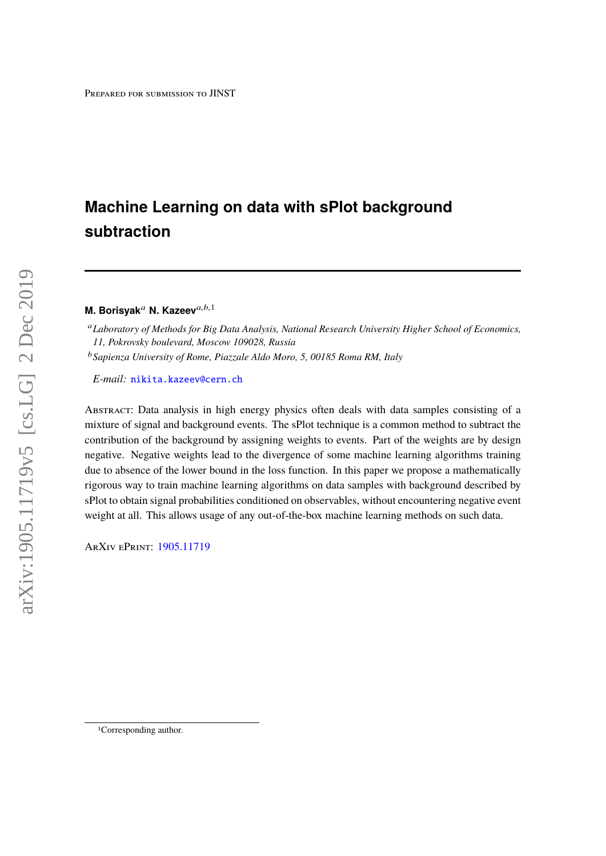# **Machine Learning on data with sPlot background subtraction**

## **M. Borisyak<sup>a</sup> N. Kazeev**<sup>a,b,1</sup>

<sup>a</sup>*Laboratory of Methods for Big Data Analysis, National Research University Higher School of Economics, 11, Pokrovsky boulevard, Moscow 109028, Russia* <sup>b</sup>*Sapienza University of Rome, Piazzale Aldo Moro, 5, 00185 Roma RM, Italy*

*E-mail:* [nikita.kazeev@cern.ch](mailto:nikita.kazeev@cern.ch)

Abstract: Data analysis in high energy physics often deals with data samples consisting of a mixture of signal and background events. The sPlot technique is a common method to subtract the contribution of the background by assigning weights to events. Part of the weights are by design negative. Negative weights lead to the divergence of some machine learning algorithms training due to absence of the lower bound in the loss function. In this paper we propose a mathematically rigorous way to train machine learning algorithms on data samples with background described by sPlot to obtain signal probabilities conditioned on observables, without encountering negative event weight at all. This allows usage of any out-of-the-box machine learning methods on such data.

ArXiv ePrint: [1905.11719](http://arxiv.org/abs/1905.11719)

<sup>1</sup>Corresponding author.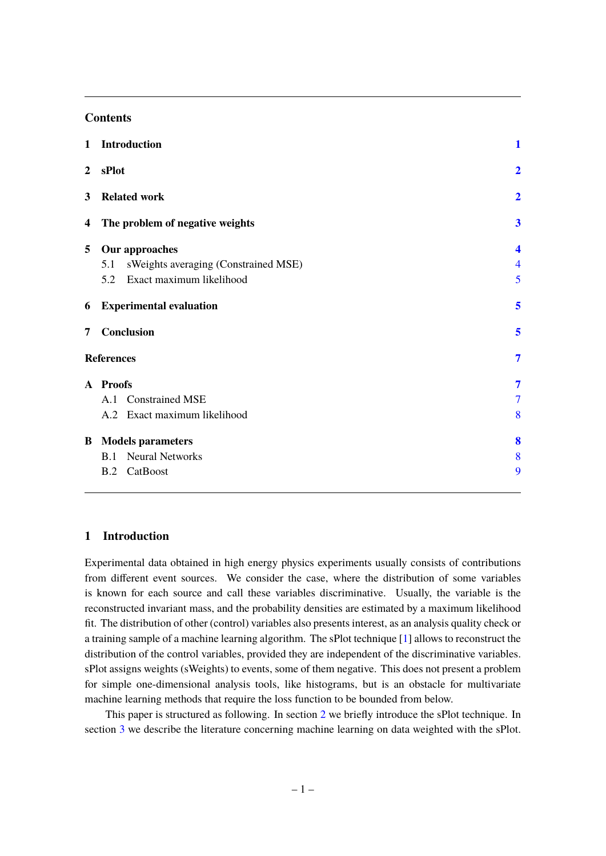## **Contents**

| $\mathbf{1}$   | <b>Introduction</b>                         | 1                        |
|----------------|---------------------------------------------|--------------------------|
| $\overline{2}$ | sPlot                                       | $\overline{2}$           |
| 3              | <b>Related work</b>                         | $\overline{2}$           |
| 4              | The problem of negative weights             | $\overline{\mathbf{3}}$  |
| 5              | <b>Our approaches</b>                       | $\overline{\mathbf{4}}$  |
|                | sWeights averaging (Constrained MSE)<br>5.1 | $\overline{\mathcal{A}}$ |
|                | 5.2 Exact maximum likelihood                | 5                        |
| 6              | <b>Experimental evaluation</b>              | 5                        |
| 7              | Conclusion                                  | 5                        |
|                | <b>References</b>                           | $\overline{7}$           |
|                | A Proofs                                    | 7                        |
|                | A.1 Constrained MSE                         | $\overline{7}$           |
|                | A.2 Exact maximum likelihood                | 8                        |
|                | <b>B</b> Models parameters                  | 8                        |
|                | <b>B.1</b> Neural Networks                  | 8                        |
|                | CatBoost<br>B.2                             | 9                        |
|                |                                             |                          |

## <span id="page-1-0"></span>**1 Introduction**

Experimental data obtained in high energy physics experiments usually consists of contributions from different event sources. We consider the case, where the distribution of some variables is known for each source and call these variables discriminative. Usually, the variable is the reconstructed invariant mass, and the probability densities are estimated by a maximum likelihood fit. The distribution of other (control) variables also presents interest, as an analysis quality check or a training sample of a machine learning algorithm. The sPlot technique [\[1\]](#page-6-1) allows to reconstruct the distribution of the control variables, provided they are independent of the discriminative variables. sPlot assigns weights (sWeights) to events, some of them negative. This does not present a problem for simple one-dimensional analysis tools, like histograms, but is an obstacle for multivariate machine learning methods that require the loss function to be bounded from below.

This paper is structured as following. In section [2](#page-2-0) we briefly introduce the sPlot technique. In section [3](#page-2-1) we describe the literature concerning machine learning on data weighted with the sPlot.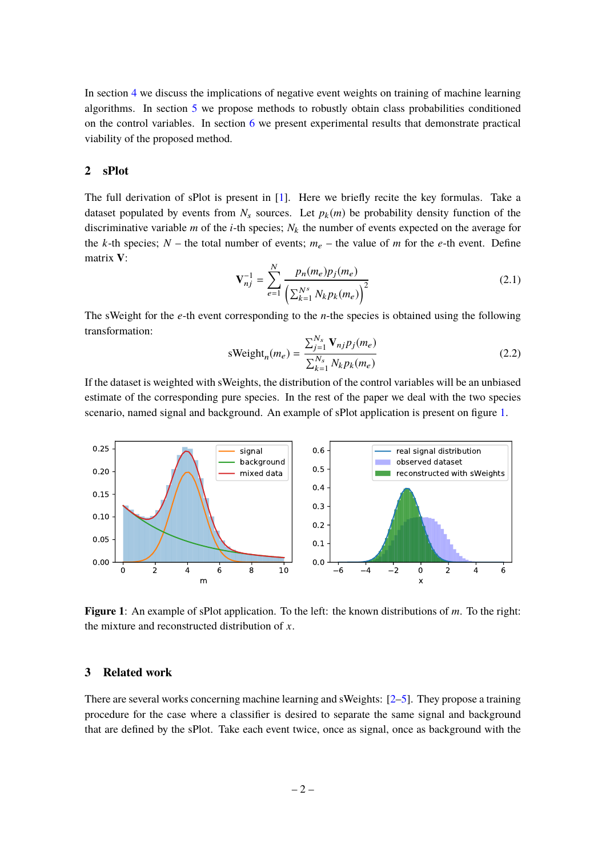In section [4](#page-3-0) we discuss the implications of negative event weights on training of machine learning algorithms. In section [5](#page-4-0) we propose methods to robustly obtain class probabilities conditioned on the control variables. In section  $6$  we present experimental results that demonstrate practical viability of the proposed method.

## <span id="page-2-0"></span>**2 sPlot**

The full derivation of sPlot is present in [\[1\]](#page-6-1). Here we briefly recite the key formulas. Take a dataset populated by events from  $N_s$  sources. Let  $p_k(m)$  be probability density function of the discriminative variable  $m$  of the  $i$ -th species;  $N_k$  the number of events expected on the average for the *k*-th species;  $N$  – the total number of events;  $m_e$  – the value of *m* for the *e*-th event. Define matrix **V**:

$$
\mathbf{V}_{nj}^{-1} = \sum_{e=1}^{N} \frac{p_n(m_e)p_j(m_e)}{\left(\sum_{k=1}^{N^s} N_k p_k(m_e)\right)^2}
$$
(2.1)

The sWeight for the *e*-th event corresponding to the *n*-the species is obtained using the following transformation:

$$
sWeightn(me) = \frac{\sum_{j=1}^{N_s} \mathbf{V}_{nj} p_j(m_e)}{\sum_{k=1}^{N_s} N_k p_k(m_e)}
$$
(2.2)

If the dataset is weighted with sWeights, the distribution of the control variables will be an unbiased estimate of the corresponding pure species. In the rest of the paper we deal with the two species scenario, named signal and background. An example of sPlot application is present on figure [1.](#page-2-2)

<span id="page-2-2"></span>

**Figure 1**: An example of sPlot application. To the left: the known distributions of *m*. To the right: the mixture and reconstructed distribution of *x*.

## <span id="page-2-1"></span>**3 Related work**

There are several works concerning machine learning and sWeights: [\[2](#page-6-2)[–5\]](#page-7-2). They propose a training procedure for the case where a classifier is desired to separate the same signal and background that are defined by the sPlot. Take each event twice, once as signal, once as background with the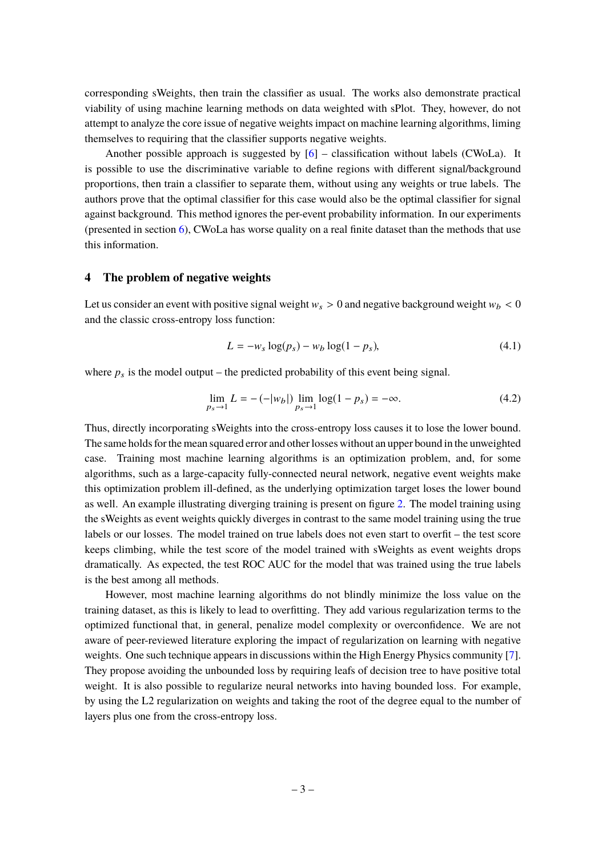corresponding sWeights, then train the classifier as usual. The works also demonstrate practical viability of using machine learning methods on data weighted with sPlot. They, however, do not attempt to analyze the core issue of negative weights impact on machine learning algorithms, liming themselves to requiring that the classifier supports negative weights.

Another possible approach is suggested by  $[6]$  – classification without labels (CWoLa). It is possible to use the discriminative variable to define regions with different signal/background proportions, then train a classifier to separate them, without using any weights or true labels. The authors prove that the optimal classifier for this case would also be the optimal classifier for signal against background. This method ignores the per-event probability information. In our experiments (presented in section [6\)](#page-5-1), CWoLa has worse quality on a real finite dataset than the methods that use this information.

## <span id="page-3-0"></span>**4 The problem of negative weights**

Let us consider an event with positive signal weight  $w_s > 0$  and negative background weight  $w_b < 0$ and the classic cross-entropy loss function:

$$
L = -w_s \log(p_s) - w_b \log(1 - p_s),
$$
\n(4.1)

where  $p_s$  is the model output – the predicted probability of this event being signal.

$$
\lim_{p_s \to 1} L = -(-|w_b|) \lim_{p_s \to 1} \log(1 - p_s) = -\infty.
$$
\n(4.2)

Thus, directly incorporating sWeights into the cross-entropy loss causes it to lose the lower bound. The same holds for the mean squared error and other losses without an upper bound in the unweighted case. Training most machine learning algorithms is an optimization problem, and, for some algorithms, such as a large-capacity fully-connected neural network, negative event weights make this optimization problem ill-defined, as the underlying optimization target loses the lower bound as well. An example illustrating diverging training is present on figure [2.](#page-4-2) The model training using the sWeights as event weights quickly diverges in contrast to the same model training using the true labels or our losses. The model trained on true labels does not even start to overfit – the test score keeps climbing, while the test score of the model trained with sWeights as event weights drops dramatically. As expected, the test ROC AUC for the model that was trained using the true labels is the best among all methods.

However, most machine learning algorithms do not blindly minimize the loss value on the training dataset, as this is likely to lead to overfitting. They add various regularization terms to the optimized functional that, in general, penalize model complexity or overconfidence. We are not aware of peer-reviewed literature exploring the impact of regularization on learning with negative weights. One such technique appears in discussions within the High Energy Physics community [\[7\]](#page-7-4). They propose avoiding the unbounded loss by requiring leafs of decision tree to have positive total weight. It is also possible to regularize neural networks into having bounded loss. For example, by using the L2 regularization on weights and taking the root of the degree equal to the number of layers plus one from the cross-entropy loss.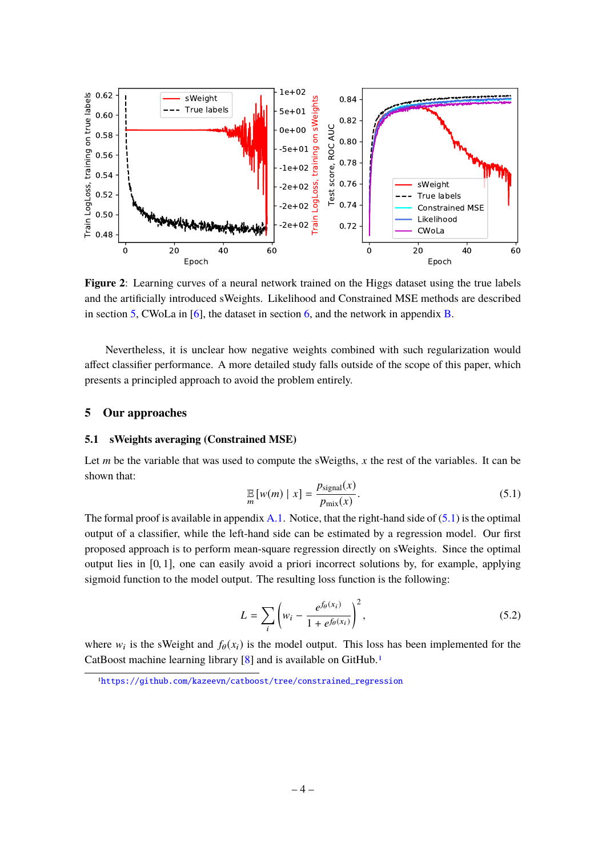<span id="page-4-2"></span>

**Figure 2**: Learning curves of a neural network trained on the Higgs dataset using the true labels and the artificially introduced sWeights. Likelihood and Constrained MSE methods are described in section [5,](#page-4-0) CWoLa in [\[6\]](#page-7-3), the dataset in section [6,](#page-5-1) and the network in appendix [B.](#page-8-1)

Nevertheless, it is unclear how negative weights combined with such regularization would affect classifier performance. A more detailed study falls outside of the scope of this paper, which presents a principled approach to avoid the problem entirely.

#### <span id="page-4-0"></span>**5 Our approaches**

## <span id="page-4-1"></span>**5.1 sWeights averaging (Constrained MSE)**

Let *m* be the variable that was used to compute the sWeigths,  $x$  the rest of the variables. It can be shown that:

<span id="page-4-3"></span>
$$
\mathbb{E}_{m}[w(m) \mid x] = \frac{p_{\text{signal}}(x)}{p_{\text{mix}}(x)}.
$$
\n(5.1)

The formal proof is available in appendix  $A.1$ . Notice, that the right-hand side of  $(5.1)$  is the optimal output of a classifier, while the left-hand side can be estimated by a regression model. Our first proposed approach is to perform mean-square regression directly on sWeights. Since the optimal output lies in  $[0, 1]$ , one can easily avoid a priori incorrect solutions by, for example, applying sigmoid function to the model output. The resulting loss function is the following:

<span id="page-4-5"></span>
$$
L = \sum_{i} \left( w_i - \frac{e^{f_{\theta}(x_i)}}{1 + e^{f_{\theta}(x_i)}} \right)^2,
$$
\n(5.2)

where  $w_i$  is the sWeight and  $f_\theta(x_i)$  is the model output. This loss has been implemented for the CatBoost machine learning library [\[8\]](#page-7-5) and is available on GitHub.<sup>[1](#page-4-4)</sup>

<span id="page-4-4"></span><sup>1</sup>[https://github.com/kazeevn/catboost/tree/constrained\\_regression](https://github.com/kazeevn/catboost/tree/constrained_regression)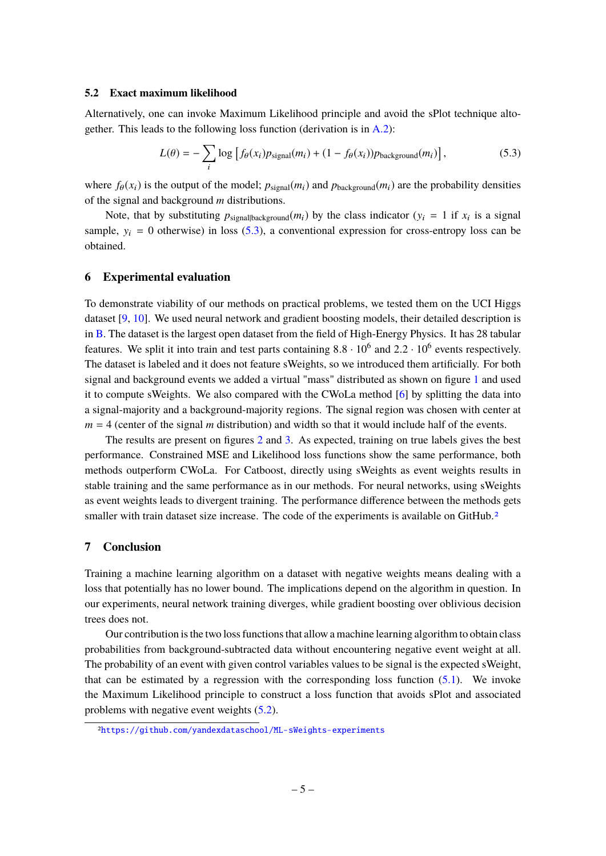#### <span id="page-5-0"></span>**5.2 Exact maximum likelihood**

Alternatively, one can invoke Maximum Likelihood principle and avoid the sPlot technique altogether. This leads to the following loss function (derivation is in [A.2\)](#page-8-0):

<span id="page-5-3"></span>
$$
L(\theta) = -\sum_{i} \log \left[ f_{\theta}(x_i) p_{\text{signal}}(m_i) + (1 - f_{\theta}(x_i)) p_{\text{background}}(m_i) \right],
$$
 (5.3)

where  $f_{\theta}(x_i)$  is the output of the model;  $p_{signal}(m_i)$  and  $p_{background}(m_i)$  are the probability densities of the signal and background *m* distributions.

Note, that by substituting  $p_{signal}$ <sub>background</sub> $(m_i)$  by the class indicator ( $y_i = 1$  if  $x_i$  is a signal sample,  $y_i = 0$  otherwise) in loss [\(5.3\)](#page-5-3), a conventional expression for cross-entropy loss can be obtained.

#### <span id="page-5-1"></span>**6 Experimental evaluation**

To demonstrate viability of our methods on practical problems, we tested them on the UCI Higgs dataset [\[9,](#page-7-6) [10\]](#page-7-7). We used neural network and gradient boosting models, their detailed description is in [B.](#page-8-1) The dataset is the largest open dataset from the field of High-Energy Physics. It has 28 tabular features. We split it into train and test parts containing  $8.8 \cdot 10^6$  and  $2.2 \cdot 10^6$  events respectively.<br>The detect is labeled and it does not feature eWeights, so we introduced them entificially. For hoth The dataset is labeled and it does not feature sWeights, so we introduced them artificially. For both signal and background events we added a virtual "mass" distributed as shown on figure [1](#page-2-2) and used it to compute sWeights. We also compared with the CWoLa method [\[6\]](#page-7-3) by splitting the data into a signal-majority and a background-majority regions. The signal region was chosen with center at  $m = 4$  (center of the signal *m* distribution) and width so that it would include half of the events.

The results are present on figures [2](#page-4-2) and [3.](#page-6-3) As expected, training on true labels gives the best performance. Constrained MSE and Likelihood loss functions show the same performance, both methods outperform CWoLa. For Catboost, directly using sWeights as event weights results in stable training and the same performance as in our methods. For neural networks, using sWeights as event weights leads to divergent training. The performance difference between the methods gets smaller with train dataset size increase. The code of the experiments is available on GitHub.<sup>[2](#page-5-4)</sup>

#### <span id="page-5-2"></span>**7 Conclusion**

Training a machine learning algorithm on a dataset with negative weights means dealing with a loss that potentially has no lower bound. The implications depend on the algorithm in question. In our experiments, neural network training diverges, while gradient boosting over oblivious decision trees does not.

Our contribution is the two loss functions that allow a machine learning algorithm to obtain class probabilities from background-subtracted data without encountering negative event weight at all. The probability of an event with given control variables values to be signal is the expected sWeight, that can be estimated by a regression with the corresponding loss function  $(5.1)$ . We invoke the Maximum Likelihood principle to construct a loss function that avoids sPlot and associated problems with negative event weights [\(5.2\)](#page-5-0).

<span id="page-5-4"></span><sup>2</sup><https://github.com/yandexdataschool/ML-sWeights-experiments>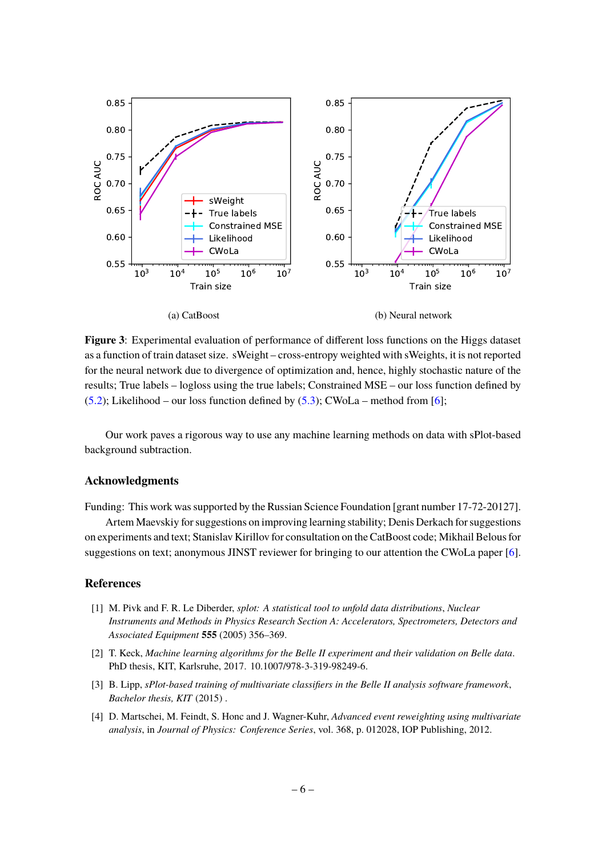<span id="page-6-3"></span>

**Figure 3**: Experimental evaluation of performance of different loss functions on the Higgs dataset as a function of train dataset size. sWeight – cross-entropy weighted with sWeights, it is not reported for the neural network due to divergence of optimization and, hence, highly stochastic nature of the results; True labels – logloss using the true labels; Constrained MSE – our loss function defined by  $(5.2)$ ; Likelihood – our loss function defined by  $(5.3)$ ; CWoLa – method from [\[6\]](#page-7-3);

Our work paves a rigorous way to use any machine learning methods on data with sPlot-based background subtraction.

#### **Acknowledgments**

Funding: This work was supported by the Russian Science Foundation [grant number 17-72-20127].

Artem Maevskiy for suggestions on improving learning stability; Denis Derkach for suggestions on experiments and text; Stanislav Kirillov for consultation on the CatBoost code; Mikhail Belous for suggestions on text; anonymous JINST reviewer for bringing to our attention the CWoLa paper [\[6\]](#page-7-3).

#### <span id="page-6-0"></span>**References**

- <span id="page-6-1"></span>[1] M. Pivk and F. R. Le Diberder, *splot: A statistical tool to unfold data distributions*, *Nuclear Instruments and Methods in Physics Research Section A: Accelerators, Spectrometers, Detectors and Associated Equipment* **555** (2005) 356–369.
- <span id="page-6-2"></span>[2] T. Keck, *Machine learning algorithms for the Belle II experiment and their validation on Belle data*. PhD thesis, KIT, Karlsruhe, 2017. 10.1007/978-3-319-98249-6.
- [3] B. Lipp, *sPlot-based training of multivariate classifiers in the Belle II analysis software framework*, *Bachelor thesis, KIT* (2015) .
- [4] D. Martschei, M. Feindt, S. Honc and J. Wagner-Kuhr, *Advanced event reweighting using multivariate analysis*, in *Journal of Physics: Conference Series*, vol. 368, p. 012028, IOP Publishing, 2012.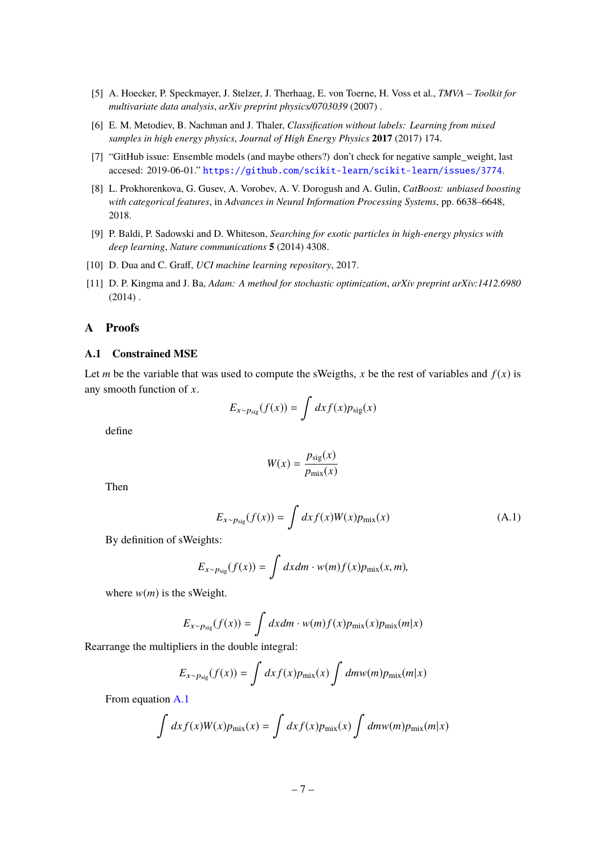- <span id="page-7-2"></span>[5] A. Hoecker, P. Speckmayer, J. Stelzer, J. Therhaag, E. von Toerne, H. Voss et al., *TMVA – Toolkit for multivariate data analysis*, *arXiv preprint physics/0703039* (2007) .
- <span id="page-7-3"></span>[6] E. M. Metodiev, B. Nachman and J. Thaler, *Classification without labels: Learning from mixed samples in high energy physics*, *Journal of High Energy Physics* **2017** (2017) 174.
- <span id="page-7-4"></span>[7] "GitHub issue: Ensemble models (and maybe others?) don't check for negative sample\_weight, last accesed: 2019-06-01." <https://github.com/scikit-learn/scikit-learn/issues/3774>.
- <span id="page-7-5"></span>[8] L. Prokhorenkova, G. Gusev, A. Vorobev, A. V. Dorogush and A. Gulin, *CatBoost: unbiased boosting with categorical features*, in *Advances in Neural Information Processing Systems*, pp. 6638–6648, 2018.
- <span id="page-7-6"></span>[9] P. Baldi, P. Sadowski and D. Whiteson, *Searching for exotic particles in high-energy physics with deep learning*, *Nature communications* **5** (2014) 4308.
- <span id="page-7-7"></span>[10] D. Dua and C. Graff, *UCI machine learning repository*, 2017.
- <span id="page-7-9"></span>[11] D. P. Kingma and J. Ba, *Adam: A method for stochastic optimization*, *arXiv preprint arXiv:1412.6980*  $(2014)$ .

## <span id="page-7-0"></span>**A Proofs**

## <span id="page-7-1"></span>**A.1 Constrained MSE**

Let *m* be the variable that was used to compute the sWeigths, *x* be the rest of variables and  $f(x)$  is any smooth function of *x*.

$$
E_{x \sim p_{\text{sig}}}(f(x)) = \int dx f(x) p_{\text{sig}}(x)
$$

define

$$
W(x) = \frac{p_{\text{sig}}(x)}{p_{\text{mix}}(x)}
$$

Then

<span id="page-7-8"></span>
$$
E_{x \sim p_{\text{sig}}}(f(x)) = \int dx f(x)W(x)p_{\text{mix}}(x)
$$
\n(A.1)

By definition of sWeights:

$$
E_{x \sim p_{\text{sig}}}(f(x)) = \int dx dm \cdot w(m) f(x) p_{\text{mix}}(x, m),
$$

where  $w(m)$  is the sWeight.

$$
E_{x \sim p_{\text{sig}}}(f(x)) = \int dx dm \cdot w(m) f(x) p_{\text{mix}}(x) p_{\text{mix}}(m|x)
$$

Rearrange the multipliers in the double integral:

$$
E_{x \sim p_{\text{sig}}}(f(x)) = \int dx f(x) p_{\text{mix}}(x) \int dm w(m) p_{\text{mix}}(m|x)
$$

From equation [A.1](#page-7-8)

$$
\int dx f(x)W(x)p_{\text{mix}}(x) = \int dx f(x)p_{\text{mix}}(x) \int dmw(m)p_{\text{mix}}(m|x)
$$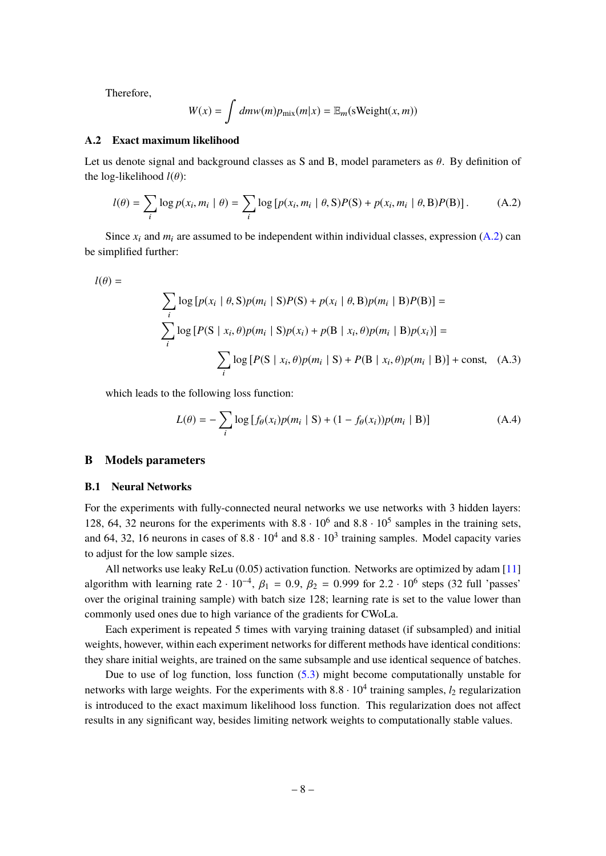Therefore,

$$
W(x) = \int dm w(m) p_{\text{mix}}(m|x) = \mathbb{E}_m(\text{sWeight}(x, m))
$$

### <span id="page-8-0"></span>**A.2 Exact maximum likelihood**

Let us denote signal and background classes as S and B, model parameters as  $\theta$ . By definition of the log-likelihood  $l(\theta)$ :

<span id="page-8-3"></span>
$$
l(\theta) = \sum_{i} \log p(x_i, m_i \mid \theta) = \sum_{i} \log [p(x_i, m_i \mid \theta, S)P(S) + p(x_i, m_i \mid \theta, B)P(B)].
$$
 (A.2)

Since  $x_i$  and  $m_i$  are assumed to be independent within individual classes, expression [\(A.2\)](#page-8-3) can be simplified further:

$$
l(\theta) =
$$

$$
l(\theta) = \sum_{i} \log \left[ p(x_i \mid \theta, S) p(m_i \mid S) P(S) + p(x_i \mid \theta, B) p(m_i \mid B) P(B) \right] = \sum_{i} \log \left[ P(S \mid x_i, \theta) p(m_i \mid S) p(x_i) + p(B \mid x_i, \theta) p(m_i \mid B) p(x_i) \right] = \sum_{i} \log \left[ P(S \mid x_i, \theta) p(m_i \mid S) + P(B \mid x_i, \theta) p(m_i \mid B) \right] + \text{const}, \quad (A.3)
$$

which leads to the following loss function:

$$
L(\theta) = -\sum_{i} \log \left[ f_{\theta}(x_i) p(m_i \mid \mathbf{S}) + (1 - f_{\theta}(x_i)) p(m_i \mid \mathbf{B}) \right]
$$
(A.4)

## <span id="page-8-1"></span>**B Models parameters**

#### <span id="page-8-2"></span>**B.1 Neural Networks**

For the experiments with fully-connected neural networks we use networks with 3 hidden layers: 128, 64, 32 neurons for the experiments with  $8.8 \cdot 10^6$  and  $8.8 \cdot 10^5$  samples in the training sets, and 64, 32, 16 neurons in cases of  $8.8 \cdot 10^4$  and  $8.8 \cdot 10^3$  training samples. Model capacity varies to adjust for the low sample sizes.

All networks use leaky ReLu (0.05) activation function. Networks are optimized by adam [\[11\]](#page-7-9) algorithm with learning rate  $2 \cdot 10^{-4}$ ,  $\beta_1 = 0.9$ ,  $\beta_2 = 0.999$  for  $2.2 \cdot 10^6$  steps (32 full 'passes'<br>such the original training sample) with hatch give 12% learning rate is set to the value leven than over the original training sample) with batch size 128; learning rate is set to the value lower than commonly used ones due to high variance of the gradients for CWoLa.

Each experiment is repeated 5 times with varying training dataset (if subsampled) and initial weights, however, within each experiment networks for different methods have identical conditions: they share initial weights, are trained on the same subsample and use identical sequence of batches.

Due to use of log function, loss function [\(5.3\)](#page-5-3) might become computationally unstable for networks with large weights. For the experiments with 8.8 · 10<sup>4</sup> training samples, *l*<sub>2</sub> regularization is introduced to the experimum likelihood loss function. This regularization does not effect is introduced to the exact maximum likelihood loss function. This regularization does not affect results in any significant way, besides limiting network weights to computationally stable values.